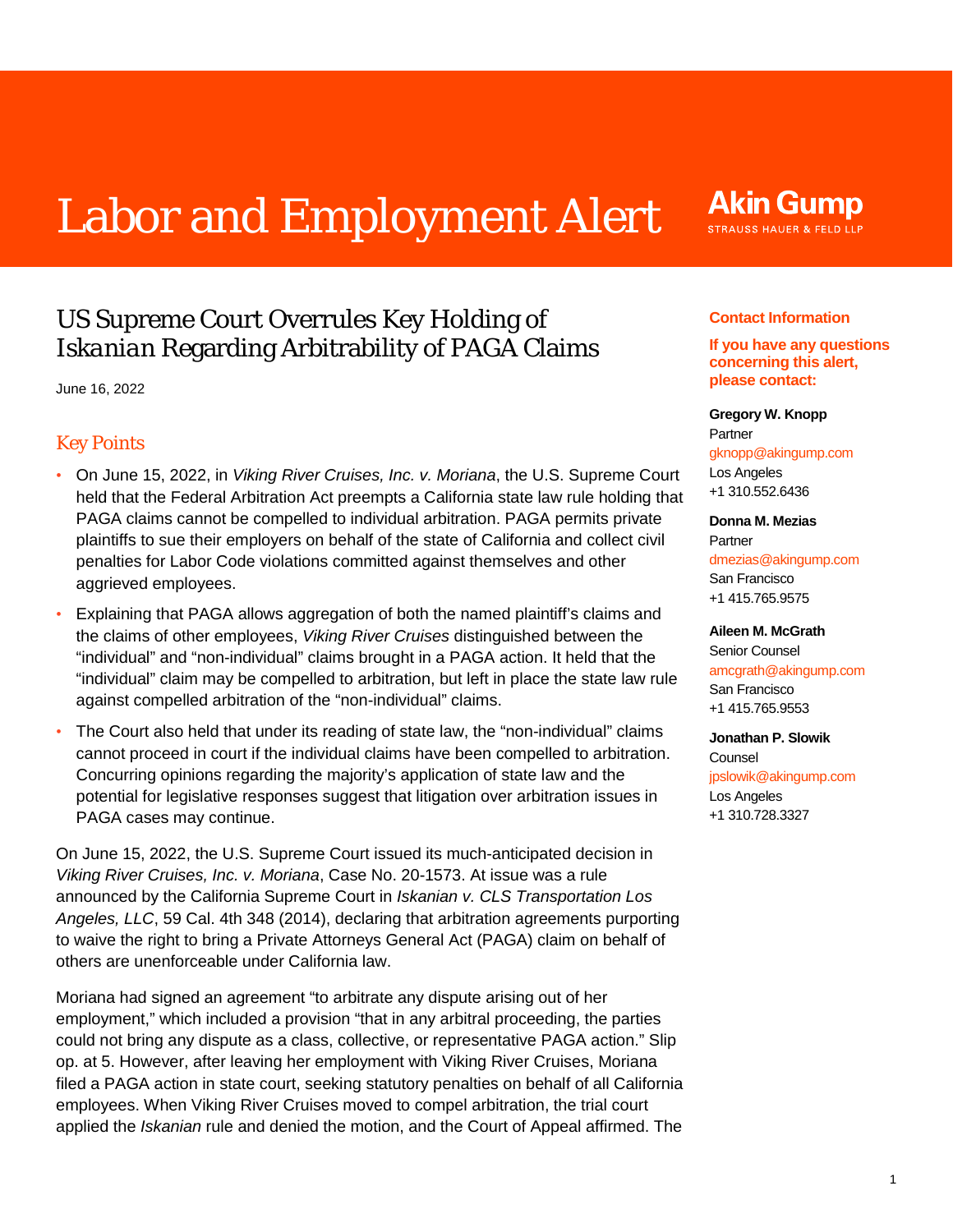# Labor and Employment Alert

# US Supreme Court Overrules Key Holding of *Iskanian* Regarding Arbitrability of PAGA Claims

June 16, 2022

## Key Points

- On June 15, 2022, in *Viking River Cruises, Inc. v. Moriana*, the U.S. Supreme Court held that the Federal Arbitration Act preempts a California state law rule holding that PAGA claims cannot be compelled to individual arbitration. PAGA permits private plaintiffs to sue their employers on behalf of the state of California and collect civil penalties for Labor Code violations committed against themselves and other aggrieved employees.
- Explaining that PAGA allows aggregation of both the named plaintiff's claims and the claims of other employees, *Viking River Cruises* distinguished between the "individual" and "non-individual" claims brought in a PAGA action. It held that the "individual" claim may be compelled to arbitration, but left in place the state law rule against compelled arbitration of the "non-individual" claims.
- The Court also held that under its reading of state law, the "non-individual" claims cannot proceed in court if the individual claims have been compelled to arbitration. Concurring opinions regarding the majority's application of state law and the potential for legislative responses suggest that litigation over arbitration issues in PAGA cases may continue.

On June 15, 2022, the U.S. Supreme Court issued its much-anticipated decision in *Viking River Cruises, Inc. v. Moriana*, Case No. 20-1573. At issue was a rule announced by the California Supreme Court in *Iskanian v. CLS Transportation Los Angeles, LLC*, 59 Cal. 4th 348 (2014), declaring that arbitration agreements purporting to waive the right to bring a Private Attorneys General Act (PAGA) claim on behalf of others are unenforceable under California law.

Moriana had signed an agreement "to arbitrate any dispute arising out of her employment," which included a provision "that in any arbitral proceeding, the parties could not bring any dispute as a class, collective, or representative PAGA action." Slip op. at 5. However, after leaving her employment with Viking River Cruises, Moriana filed a PAGA action in state court, seeking statutory penalties on behalf of all California employees. When Viking River Cruises moved to compel arbitration, the trial court applied the *Iskanian* rule and denied the motion, and the Court of Appeal affirmed. The

## **Akin Gump** STRAUSS HAUER & FELD LLP

## **Contact Information**

## **If you have any questions concerning this alert, please contact:**

#### **Gregory W. Knopp**

Partner [gknopp@akingump.com](mailto:gknopp@akingump.com) Los Angeles +1 310.552.6436

#### **Donna M. Mezias**

Partner [dmezias@akingump.com](mailto:dmezias@akingump.com) San Francisco +1 415.765.9575

### **Aileen M. McGrath**

Senior Counsel [amcgrath@akingump.com](mailto:amcgrath@akingump.com) San Francisco +1 415.765.9553

**Jonathan P. Slowik** Counsel [jpslowik@akingump.com](mailto:jpslowik@akingump.com) Los Angeles +1 310.728.3327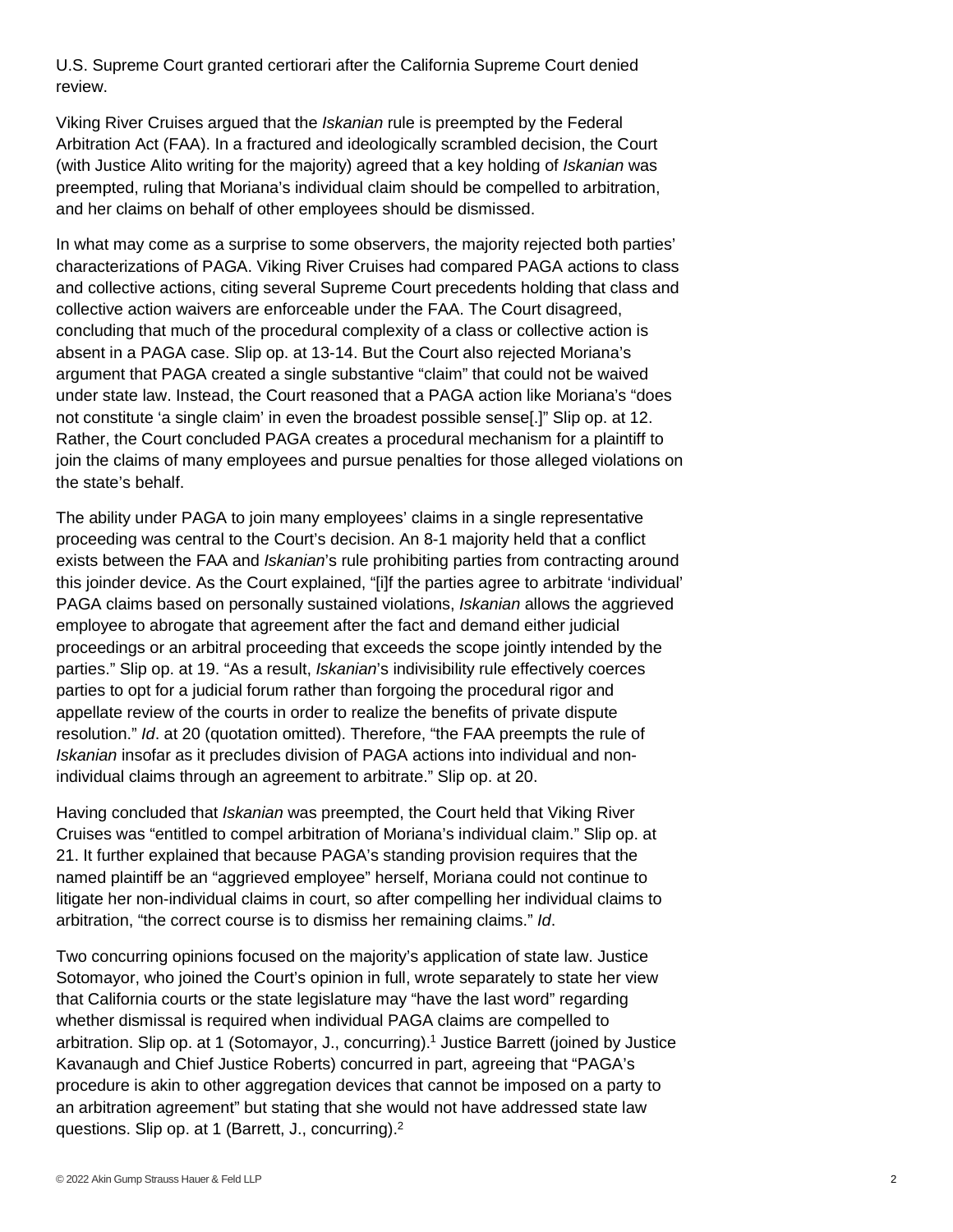U.S. Supreme Court granted certiorari after the California Supreme Court denied review.

Viking River Cruises argued that the *Iskanian* rule is preempted by the Federal Arbitration Act (FAA). In a fractured and ideologically scrambled decision, the Court (with Justice Alito writing for the majority) agreed that a key holding of *Iskanian* was preempted, ruling that Moriana's individual claim should be compelled to arbitration, and her claims on behalf of other employees should be dismissed.

In what may come as a surprise to some observers, the majority rejected both parties' characterizations of PAGA. Viking River Cruises had compared PAGA actions to class and collective actions, citing several Supreme Court precedents holding that class and collective action waivers are enforceable under the FAA. The Court disagreed, concluding that much of the procedural complexity of a class or collective action is absent in a PAGA case. Slip op. at 13-14. But the Court also rejected Moriana's argument that PAGA created a single substantive "claim" that could not be waived under state law. Instead, the Court reasoned that a PAGA action like Moriana's "does not constitute 'a single claim' in even the broadest possible sense[.]" Slip op. at 12. Rather, the Court concluded PAGA creates a procedural mechanism for a plaintiff to join the claims of many employees and pursue penalties for those alleged violations on the state's behalf.

The ability under PAGA to join many employees' claims in a single representative proceeding was central to the Court's decision. An 8-1 majority held that a conflict exists between the FAA and *Iskanian*'s rule prohibiting parties from contracting around this joinder device. As the Court explained, "[i]f the parties agree to arbitrate 'individual' PAGA claims based on personally sustained violations, *Iskanian* allows the aggrieved employee to abrogate that agreement after the fact and demand either judicial proceedings or an arbitral proceeding that exceeds the scope jointly intended by the parties." Slip op. at 19. "As a result, *Iskanian*'s indivisibility rule effectively coerces parties to opt for a judicial forum rather than forgoing the procedural rigor and appellate review of the courts in order to realize the benefits of private dispute resolution." *Id*. at 20 (quotation omitted). Therefore, "the FAA preempts the rule of *Iskanian* insofar as it precludes division of PAGA actions into individual and nonindividual claims through an agreement to arbitrate." Slip op. at 20.

Having concluded that *Iskanian* was preempted, the Court held that Viking River Cruises was "entitled to compel arbitration of Moriana's individual claim." Slip op. at 21. It further explained that because PAGA's standing provision requires that the named plaintiff be an "aggrieved employee" herself, Moriana could not continue to litigate her non-individual claims in court, so after compelling her individual claims to arbitration, "the correct course is to dismiss her remaining claims." *Id*.

<span id="page-1-1"></span><span id="page-1-0"></span>Two concurring opinions focused on the majority's application of state law. Justice Sotomayor, who joined the Court's opinion in full, wrote separately to state her view that California courts or the state legislature may "have the last word" regarding whether dismissal is required when individual PAGA claims are compelled to arbitration. Slip op. at 1 (Sotomayor, J., concurring)[.1](#page-2-0) Justice Barrett (joined by Justice Kavanaugh and Chief Justice Roberts) concurred in part, agreeing that "PAGA's procedure is akin to other aggregation devices that cannot be imposed on a party to an arbitration agreement" but stating that she would not have addressed state law questions. Slip op. at 1 (Barrett, J., concurring)[.2](#page-2-1)